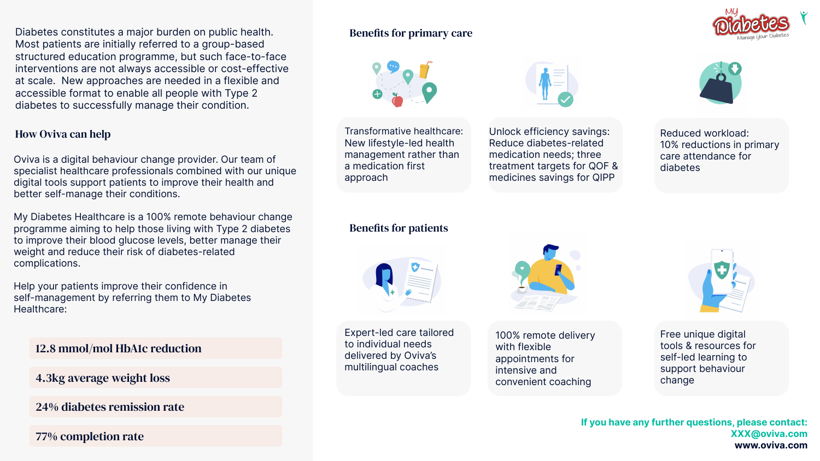Diabetes constitutes a major burden on public health. Most patients are initially referred to a group-based structured education programme, but such face-to-face interventions are not always accessible or cost-effective at scale. New approaches are needed in a flexible and accessible format to enable all people with Type 2 diabetes to successfully manage their condition.

## How Oviva can help

Oviva is a digital behaviour change provider. Our team of specialist healthcare professionals combined with our unique digital tools support patients to improve their health and better self-manage their conditions.

My Diabetes Healthcare is a 100% remote behaviour change programme aiming to help those living with Type 2 diabetes to improve their blood glucose levels, better manage their weight and reduce their risk of diabetes-related complications.

Help your patients improve their confidence in self-management by referring them to My Diabetes Healthcare:

12.8 mmol/mol HbA1c reduction

4.3kg average weight loss

24% diabetes remission rate

77% completion rate

## Benefits for primary care



Transformative healthcare: New lifestyle-led health management rather than a medication first approach



Unlock efficiency savings: Reduce diabetes-related medication needs; three treatment targets for QOF & medicines savings for QIPP



Reduced workload: 10% reductions in primary care attendance for diabetes

## Benefits for patients



Expert-led care tailored to individual needs delivered by Oviva's multilingual coaches



100% remote delivery with flexible appointments for intensive and convenient coaching



Free unique digital tools & resources for self-led learning to support behaviour change

**If you have any further questions, please contact: XXX@oviva.com www.oviva.com**